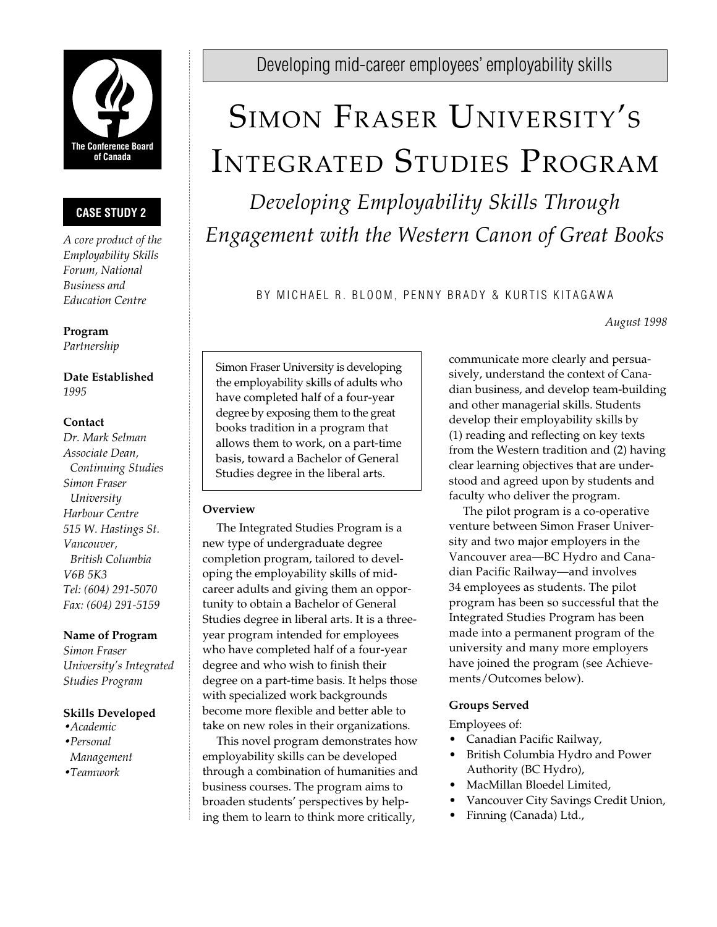

# **CASE STUDY 2**

*A core product of the Employability Skills Forum, National Business and Education Centre*

**Program** *Partnership*

**Date Established** *1995*

## **Contact**

*Dr. Mark Selman Associate Dean, Continuing Studies Simon Fraser University Harbour Centre 515 W. Hastings St. Vancouver, British Columbia V6B 5K3 Tel: (604) 291-5070 Fax: (604) 291-5159*

## **Name of Program**

*Simon Fraser University's Integrated Studies Program*

## **Skills Developed**

- •*Academic*
- •*Personal Management* •*Teamwork*

Developing mid-career employees' employability skills

# SIMON FRASER UNIVERSITY'S INTEGRATED STUDIES PROGRAM

*Developing Employability Skills Through Engagement with the Western Canon of Great Books*

BY MICHAEL R. BLOOM, PENNY BRADY & KURTIS KITAGAWA

*August 1998*

Simon Fraser University is developing the employability skills of adults who have completed half of a four-year degree by exposing them to the great books tradition in a program that allows them to work, on a part-time basis, toward a Bachelor of General Studies degree in the liberal arts.

## **Overview**

The Integrated Studies Program is a new type of undergraduate degree completion program, tailored to developing the employability skills of midcareer adults and giving them an opportunity to obtain a Bachelor of General Studies degree in liberal arts. It is a threeyear program intended for employees who have completed half of a four-year degree and who wish to finish their degree on a part-time basis. It helps those with specialized work backgrounds become more flexible and better able to take on new roles in their organizations.

This novel program demonstrates how employability skills can be developed through a combination of humanities and business courses. The program aims to broaden students' perspectives by helping them to learn to think more critically,

communicate more clearly and persuasively, understand the context of Canadian business, and develop team-building and other managerial skills. Students develop their employability skills by (1) reading and reflecting on key texts from the Western tradition and (2) having clear learning objectives that are understood and agreed upon by students and faculty who deliver the program.

The pilot program is a co-operative venture between Simon Fraser University and two major employers in the Vancouver area—BC Hydro and Canadian Pacific Railway—and involves 34 employees as students. The pilot program has been so successful that the Integrated Studies Program has been made into a permanent program of the university and many more employers have joined the program (see Achievements/Outcomes below).

# **Groups Served**

Employees of:

- Canadian Pacific Railway,
- British Columbia Hydro and Power Authority (BC Hydro),
- MacMillan Bloedel Limited,
- Vancouver City Savings Credit Union,
- Finning (Canada) Ltd.,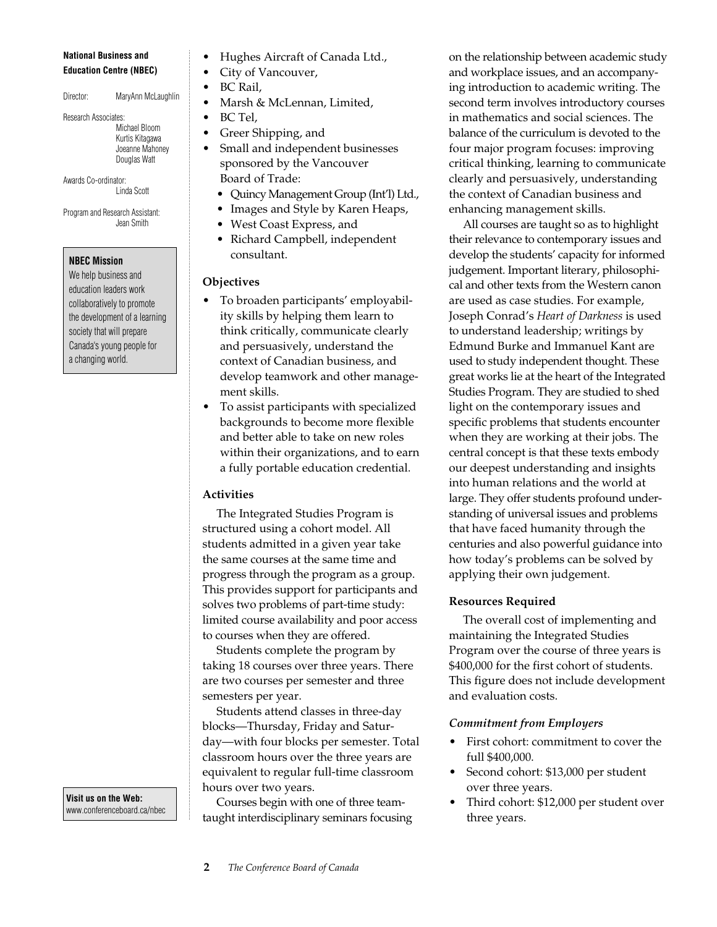#### **National Business and Education Centre (NBEC)**

Director: MaryAnn McLaughlin

Research Associates: Michael Bloom Kurtis Kitagawa Joeanne Mahoney Douglas Watt

Awards Co-ordinator: Linda Scott

Program and Research Assistant: Jean Smith

#### **NBEC Mission**

We help business and education leaders work collaboratively to promote the development of a learning society that will prepare Canada's young people for a changing world.

**Visit us on the Web:** www.conferenceboard.ca/nbec

- Hughes Aircraft of Canada Ltd.,
- City of Vancouver,
- BC Rail,
- Marsh & McLennan, Limited,
- BC Tel,
- Greer Shipping, and
- Small and independent businesses sponsored by the Vancouver Board of Trade:
	- Quincy Management Group (Int'l) Ltd.,
	- Images and Style by Karen Heaps,
	- West Coast Express, and
	- Richard Campbell, independent consultant.

#### **Objectives**

- To broaden participants' employability skills by helping them learn to think critically, communicate clearly and persuasively, understand the context of Canadian business, and develop teamwork and other management skills.
- To assist participants with specialized backgrounds to become more flexible and better able to take on new roles within their organizations, and to earn a fully portable education credential.

## **Activities**

The Integrated Studies Program is structured using a cohort model. All students admitted in a given year take the same courses at the same time and progress through the program as a group. This provides support for participants and solves two problems of part-time study: limited course availability and poor access to courses when they are offered.

Students complete the program by taking 18 courses over three years. There are two courses per semester and three semesters per year.

Students attend classes in three-day blocks—Thursday, Friday and Saturday—with four blocks per semester. Total classroom hours over the three years are equivalent to regular full-time classroom hours over two years.

Courses begin with one of three teamtaught interdisciplinary seminars focusing on the relationship between academic study and workplace issues, and an accompanying introduction to academic writing. The second term involves introductory courses in mathematics and social sciences. The balance of the curriculum is devoted to the four major program focuses: improving critical thinking, learning to communicate clearly and persuasively, understanding the context of Canadian business and enhancing management skills.

All courses are taught so as to highlight their relevance to contemporary issues and develop the students' capacity for informed judgement. Important literary, philosophical and other texts from the Western canon are used as case studies. For example, Joseph Conrad's *Heart of Darkness* is used to understand leadership; writings by Edmund Burke and Immanuel Kant are used to study independent thought. These great works lie at the heart of the Integrated Studies Program. They are studied to shed light on the contemporary issues and specific problems that students encounter when they are working at their jobs. The central concept is that these texts embody our deepest understanding and insights into human relations and the world at large. They offer students profound understanding of universal issues and problems that have faced humanity through the centuries and also powerful guidance into how today's problems can be solved by applying their own judgement.

#### **Resources Required**

The overall cost of implementing and maintaining the Integrated Studies Program over the course of three years is \$400,000 for the first cohort of students. This figure does not include development and evaluation costs.

#### *Commitment from Employers*

- First cohort: commitment to cover the full \$400,000.
- Second cohort: \$13,000 per student over three years.
- Third cohort: \$12,000 per student over three years.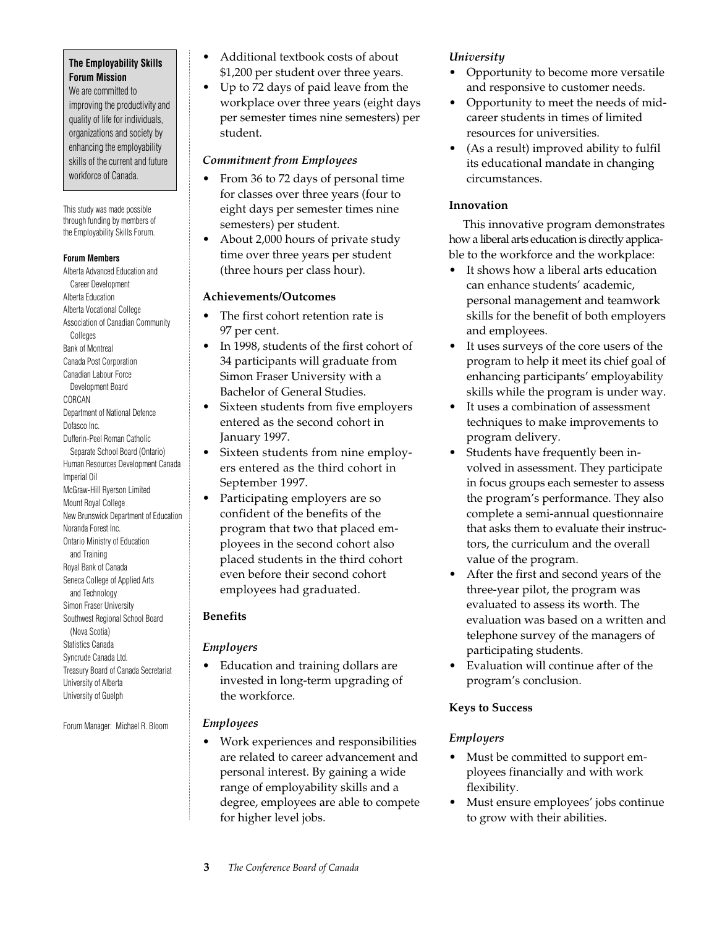#### **The Employability Skills Forum Mission**

We are committed to improving the productivity and quality of life for individuals, organizations and society by enhancing the employability skills of the current and future workforce of Canada.

This study was made possible through funding by members of the Employability Skills Forum.

#### **Forum Members**

Alberta Advanced Education and Career Development Alberta Education Alberta Vocational College Association of Canadian Community Colleges Bank of Montreal Canada Post Corporation Canadian Labour Force Development Board CORCAN Department of National Defence Dofasco Inc. Dufferin-Peel Roman Catholic Separate School Board (Ontario) Human Resources Development Canada Imperial Oil McGraw-Hill Ryerson Limited Mount Royal College New Brunswick Department of Education Noranda Forest Inc. Ontario Ministry of Education and Training Royal Bank of Canada Seneca College of Applied Arts and Technology Simon Fraser University Southwest Regional School Board (Nova Scotia) Statistics Canada Syncrude Canada Ltd. Treasury Board of Canada Secretariat University of Alberta University of Guelph

Forum Manager: Michael R. Bloom

- Additional textbook costs of about \$1,200 per student over three years.
- Up to 72 days of paid leave from the workplace over three years (eight days per semester times nine semesters) per student.

# *Commitment from Employees*

- From 36 to 72 days of personal time for classes over three years (four to eight days per semester times nine semesters) per student.
- About 2,000 hours of private study time over three years per student (three hours per class hour).

## **Achievements/Outcomes**

- The first cohort retention rate is 97 per cent.
- In 1998, students of the first cohort of 34 participants will graduate from Simon Fraser University with a Bachelor of General Studies.
- Sixteen students from five employers entered as the second cohort in January 1997.
- Sixteen students from nine employers entered as the third cohort in September 1997.
- Participating employers are so confident of the benefits of the program that two that placed employees in the second cohort also placed students in the third cohort even before their second cohort employees had graduated.

## **Benefits**

## *Employers*

• Education and training dollars are invested in long-term upgrading of the workforce.

## *Employees*

• Work experiences and responsibilities are related to career advancement and personal interest. By gaining a wide range of employability skills and a degree, employees are able to compete for higher level jobs.

# *University*

- Opportunity to become more versatile and responsive to customer needs.
- Opportunity to meet the needs of midcareer students in times of limited resources for universities.
- (As a result) improved ability to fulfil its educational mandate in changing circumstances.

## **Innovation**

This innovative program demonstrates how a liberal arts education is directly applicable to the workforce and the workplace:

- It shows how a liberal arts education can enhance students' academic, personal management and teamwork skills for the benefit of both employers and employees.
- It uses surveys of the core users of the program to help it meet its chief goal of enhancing participants' employability skills while the program is under way.
- It uses a combination of assessment techniques to make improvements to program delivery.
- Students have frequently been involved in assessment. They participate in focus groups each semester to assess the program's performance. They also complete a semi-annual questionnaire that asks them to evaluate their instructors, the curriculum and the overall value of the program.
- After the first and second years of the three-year pilot, the program was evaluated to assess its worth. The evaluation was based on a written and telephone survey of the managers of participating students.
- Evaluation will continue after of the program's conclusion.

# **Keys to Success**

# *Employers*

- Must be committed to support employees financially and with work flexibility.
- Must ensure employees' jobs continue to grow with their abilities.